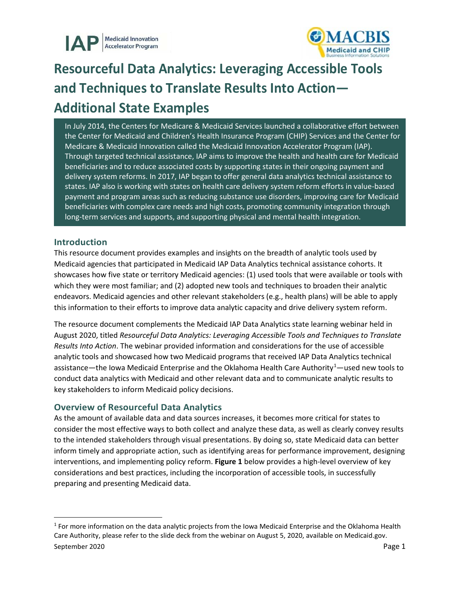

# **Resourceful Data Analytics: Leveraging Accessible Tools and Techniques to Translate Results Into Action— Additional State Examples**

In July 2014, the Centers for Medicare & Medicaid Services launched a collaborative effort between the Center for Medicaid and Children's Health Insurance Program (CHIP) Services and the Center for Medicare & Medicaid Innovation called the Medicaid Innovation Accelerator Program (IAP). Through targeted technical assistance, IAP aims to improve the health and health care for Medicaid beneficiaries and to reduce associated costs by supporting states in their ongoing payment and delivery system reforms. In 2017, IAP began to offer general data analytics technical assistance to states. IAP also is working with states on health care delivery system reform efforts in value-based payment and program areas such as reducing substance use disorders, improving care for Medicaid beneficiaries with complex care needs and high costs, promoting community integration through long-term services and supports, and supporting physical and mental health integration.

## **Introduction**

This resource document provides examples and insights on the breadth of analytic tools used by Medicaid agencies that participated in Medicaid IAP Data Analytics technical assistance cohorts. It showcases how five state or territory Medicaid agencies: (1) used tools that were available or tools with which they were most familiar; and (2) adopted new tools and techniques to broaden their analytic endeavors. Medicaid agencies and other relevant stakeholders (e.g., health plans) will be able to apply this information to their efforts to improve data analytic capacity and drive delivery system reform.

The resource document complements the Medicaid IAP Data Analytics state learning webinar held in August 2020, titled *Resourceful Data Analytics: Leveraging Accessible Tools and Techniques to Translate Results Into Action*. The webinar provided information and considerations for the use of accessible analytic tools and showcased how two Medicaid programs that received IAP Data Analytics technical assistance—the Iowa Medicaid Enterprise and the Oklahoma Health Care Authority<sup>1</sup>—used new tools to conduct data analytics with Medicaid and other relevant data and to communicate analytic results to key stakeholders to inform Medicaid policy decisions.

## **Overview of Resourceful Data Analytics**

As the amount of available data and data sources increases, it becomes more critical for states to consider the most effective ways to both collect and analyze these data, as well as clearly convey results to the intended stakeholders through visual presentations. By doing so, state Medicaid data can better inform timely and appropriate action, such as identifying areas for performance improvement, designing interventions, and implementing policy reform. **Figure 1** below provides a high-level overview of key considerations and best practices, including the incorporation of accessible tools, in successfully preparing and presenting Medicaid data.

<span id="page-0-0"></span>September 2020 Page 1  $1$  For more information on the data analytic projects from the Iowa Medicaid Enterprise and the Oklahoma Health Care Authority, please refer to the slide deck from the webinar on August 5, 2020, available on Medicaid.gov.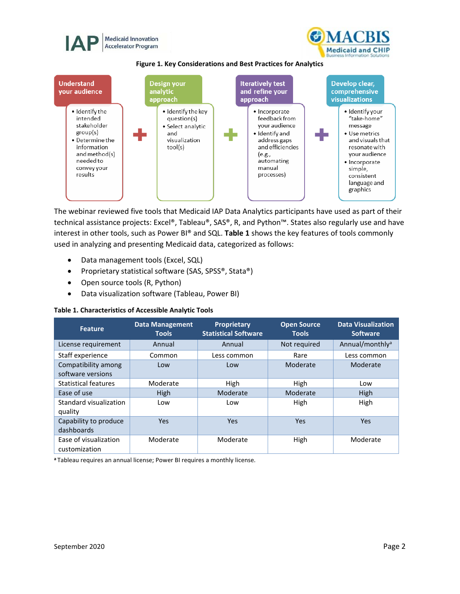



**Figure 1. Key Considerations and Best Practices for Analytics**



The webinar reviewed five tools that Medicaid IAP Data Analytics participants have used as part of their technical assistance projects: Excel®, Tableau®, SAS®, R, and Python™. States also regularly use and have interest in other tools, such as Power BI® and SQL. **Table 1** shows the key features of tools commonly used in analyzing and presenting Medicaid data, categorized as follows:

- Data management tools (Excel, SQL)
- Proprietary statistical software (SAS, SPSS®, Stata®)
- Open source tools (R, Python)
- Data visualization software (Tableau, Power BI)

**Table 1. Characteristics of Accessible Analytic Tools**

| <b>Feature</b>                           | <b>Data Management</b><br><b>Tools</b> | <b>Proprietary</b><br><b>Statistical Software</b> | <b>Open Source</b><br><b>Tools</b> | <b>Data Visualization</b><br><b>Software</b> |
|------------------------------------------|----------------------------------------|---------------------------------------------------|------------------------------------|----------------------------------------------|
| License requirement                      | Annual                                 | Annual                                            | Not required                       | Annual/monthly <sup>a</sup>                  |
| Staff experience                         | Common                                 | Less common                                       | Rare                               | Less common                                  |
| Compatibility among<br>software versions | Low                                    | Low                                               | Moderate                           | Moderate                                     |
| <b>Statistical features</b>              | Moderate                               | High                                              | High                               | Low                                          |
| Ease of use                              | High                                   | Moderate                                          | Moderate                           | High                                         |
| Standard visualization<br>quality        | Low                                    | Low                                               | <b>High</b>                        | High                                         |
| Capability to produce<br>dashboards      | Yes                                    | Yes                                               | Yes                                | Yes                                          |
| Ease of visualization<br>customization   | Moderate                               | Moderate                                          | High                               | Moderate                                     |

**a** Tableau requires an annual license; Power BI requires a monthly license.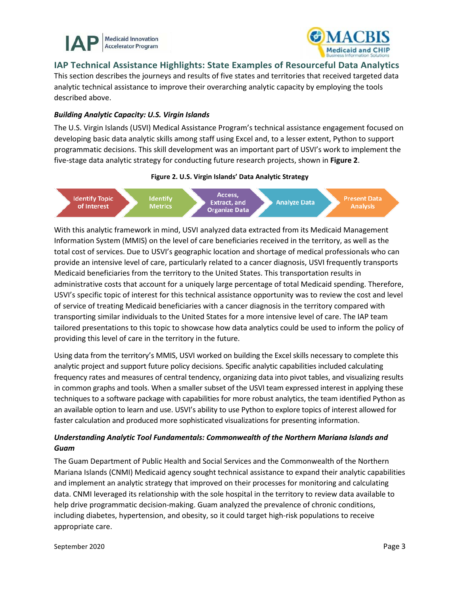



**IAP Technical Assistance Highlights: State Examples of Resourceful Data Analytics** 

This section describes the journeys and results of five states and territories that received targeted data analytic technical assistance to improve their overarching analytic capacity by employing the tools described above.

### *Building Analytic Capacity: U.S. Virgin Islands*

The U.S. Virgin Islands (USVI) Medical Assistance Program's technical assistance engagement focused on developing basic data analytic skills among staff using Excel and, to a lesser extent, Python to support programmatic decisions. This skill development was an important part of USVI's work to implement the five-stage data analytic strategy for conducting future research projects, shown in **Figure 2**.

#### **Figure 2. U.S. Virgin Islands' Data Analytic Strategy**



With this analytic framework in mind, USVI analyzed data extracted from its Medicaid Management Information System (MMIS) on the level of care beneficiaries received in the territory, as well as the total cost of services. Due to USVI's geographic location and shortage of medical professionals who can provide an intensive level of care, particularly related to a cancer diagnosis, USVI frequently transports Medicaid beneficiaries from the territory to the United States. This transportation results in administrative costs that account for a uniquely large percentage of total Medicaid spending. Therefore, USVI's specific topic of interest for this technical assistance opportunity was to review the cost and level of service of treating Medicaid beneficiaries with a cancer diagnosis in the territory compared with transporting similar individuals to the United States for a more intensive level of care. The IAP team tailored presentations to this topic to showcase how data analytics could be used to inform the policy of providing this level of care in the territory in the future.

Using data from the territory's MMIS, USVI worked on building the Excel skills necessary to complete this analytic project and support future policy decisions. Specific analytic capabilities included calculating frequency rates and measures of central tendency, organizing data into pivot tables, and visualizing results in common graphs and tools. When a smaller subset of the USVI team expressed interest in applying these techniques to a software package with capabilities for more robust analytics, the team identified Python as an available option to learn and use. USVI's ability to use Python to explore topics of interest allowed for faster calculation and produced more sophisticated visualizations for presenting information.

## *Understanding Analytic Tool Fundamentals: Commonwealth of the Northern Mariana Islands and Guam*

The Guam Department of Public Health and Social Services and the Commonwealth of the Northern Mariana Islands (CNMI) Medicaid agency sought technical assistance to expand their analytic capabilities and implement an analytic strategy that improved on their processes for monitoring and calculating data. CNMI leveraged its relationship with the sole hospital in the territory to review data available to help drive programmatic decision-making. Guam analyzed the prevalence of chronic conditions, including diabetes, hypertension, and obesity, so it could target high-risk populations to receive appropriate care.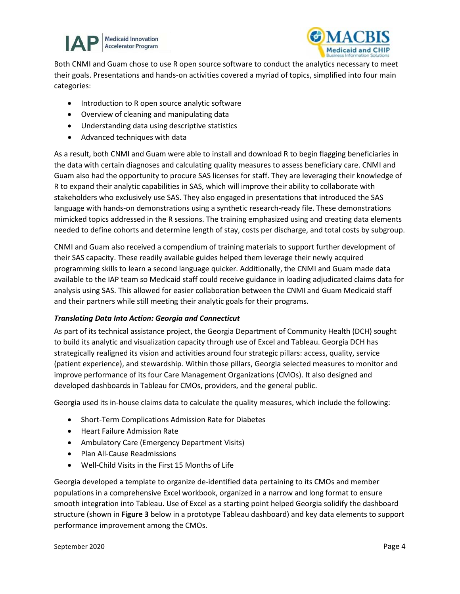



Both CNMI and Guam chose to use R open source software to conduct the analytics necessary to meet their goals. Presentations and hands-on activities covered a myriad of topics, simplified into four main categories:

- Introduction to R open source analytic software
- Overview of cleaning and manipulating data
- Understanding data using descriptive statistics
- Advanced techniques with data

As a result, both CNMI and Guam were able to install and download R to begin flagging beneficiaries in the data with certain diagnoses and calculating quality measures to assess beneficiary care. CNMI and Guam also had the opportunity to procure SAS licenses for staff. They are leveraging their knowledge of R to expand their analytic capabilities in SAS, which will improve their ability to collaborate with stakeholders who exclusively use SAS. They also engaged in presentations that introduced the SAS language with hands-on demonstrations using a synthetic research-ready file. These demonstrations mimicked topics addressed in the R sessions. The training emphasized using and creating data elements needed to define cohorts and determine length of stay, costs per discharge, and total costs by subgroup.

CNMI and Guam also received a compendium of training materials to support further development of their SAS capacity. These readily available guides helped them leverage their newly acquired programming skills to learn a second language quicker. Additionally, the CNMI and Guam made data available to the IAP team so Medicaid staff could receive guidance in loading adjudicated claims data for analysis using SAS. This allowed for easier collaboration between the CNMI and Guam Medicaid staff and their partners while still meeting their analytic goals for their programs.

#### *Translating Data Into Action: Georgia and Connecticut*

As part of its technical assistance project, the Georgia Department of Community Health (DCH) sought to build its analytic and visualization capacity through use of Excel and Tableau. Georgia DCH has strategically realigned its vision and activities around four strategic pillars: access, quality, service (patient experience), and stewardship. Within those pillars, Georgia selected measures to monitor and improve performance of its four Care Management Organizations (CMOs). It also designed and developed dashboards in Tableau for CMOs, providers, and the general public.

Georgia used its in-house claims data to calculate the quality measures, which include the following:

- Short-Term Complications Admission Rate for Diabetes
- Heart Failure Admission Rate
- Ambulatory Care (Emergency Department Visits)
- Plan All-Cause Readmissions
- Well-Child Visits in the First 15 Months of Life

Georgia developed a template to organize de-identified data pertaining to its CMOs and member populations in a comprehensive Excel workbook, organized in a narrow and long format to ensure smooth integration into Tableau. Use of Excel as a starting point helped Georgia solidify the dashboard structure (shown in **Figure 3** below in a prototype Tableau dashboard) and key data elements to support performance improvement among the CMOs.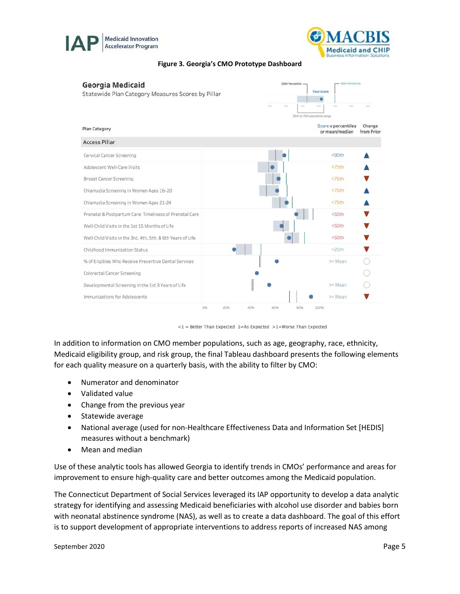



#### **Figure 3. Georgia's CMO Prototype Dashboard**



 $<$ 1 = Better Than Expected 1=As Expected >1=Worse Than Expected

In addition to information on CMO member populations, such as age, geography, race, ethnicity, Medicaid eligibility group, and risk group, the final Tableau dashboard presents the following elements for each quality measure on a quarterly basis, with the ability to filter by CMO:

- Numerator and denominator
- Validated value
- Change from the previous year
- Statewide average
- National average (used for non-Healthcare Effectiveness Data and Information Set [HEDIS] measures without a benchmark)
- Mean and median

Use of these analytic tools has allowed Georgia to identify trends in CMOs' performance and areas for improvement to ensure high-quality care and better outcomes among the Medicaid population.

The Connecticut Department of Social Services leveraged its IAP opportunity to develop a data analytic strategy for identifying and assessing Medicaid beneficiaries with alcohol use disorder and babies born with neonatal abstinence syndrome (NAS), as well as to create a data dashboard. The goal of this effort is to support development of appropriate interventions to address reports of increased NAS among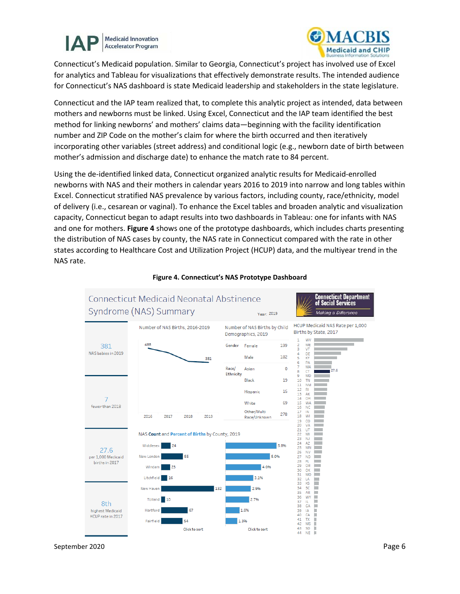



Connecticut's Medicaid population. Similar to Georgia, Connecticut's project has involved use of Excel for analytics and Tableau for visualizations that effectively demonstrate results. The intended audience for Connecticut's NAS dashboard is state Medicaid leadership and stakeholders in the state legislature.

Connecticut and the IAP team realized that, to complete this analytic project as intended, data between mothers and newborns must be linked. Using Excel, Connecticut and the IAP team identified the best method for linking newborns' and mothers' claims data—beginning with the facility identification number and ZIP Code on the mother's claim for where the birth occurred and then iteratively incorporating other variables (street address) and conditional logic (e.g., newborn date of birth between mother's admission and discharge date) to enhance the match rate to 84 percent.

Using the de-identified linked data, Connecticut organized analytic results for Medicaid-enrolled newborns with NAS and their mothers in calendar years 2016 to 2019 into narrow and long tables within Excel. Connecticut stratified NAS prevalence by various factors, including county, race/ethnicity, model of delivery (i.e., cesarean or vaginal). To enhance the Excel tables and broaden analytic and visualization capacity, Connecticut began to adapt results into two dashboards in Tableau: one for infants with NAS and one for mothers. **Figure 4** shows one of the prototype dashboards, which includes charts presenting the distribution of NAS cases by county, the NAS rate in Connecticut compared with the rate in other states according to Healthcare Cost and Utilization Project (HCUP) data, and the multiyear trend in the NAS rate.



#### **Figure 4. Connecticut's NAS Prototype Dashboard**